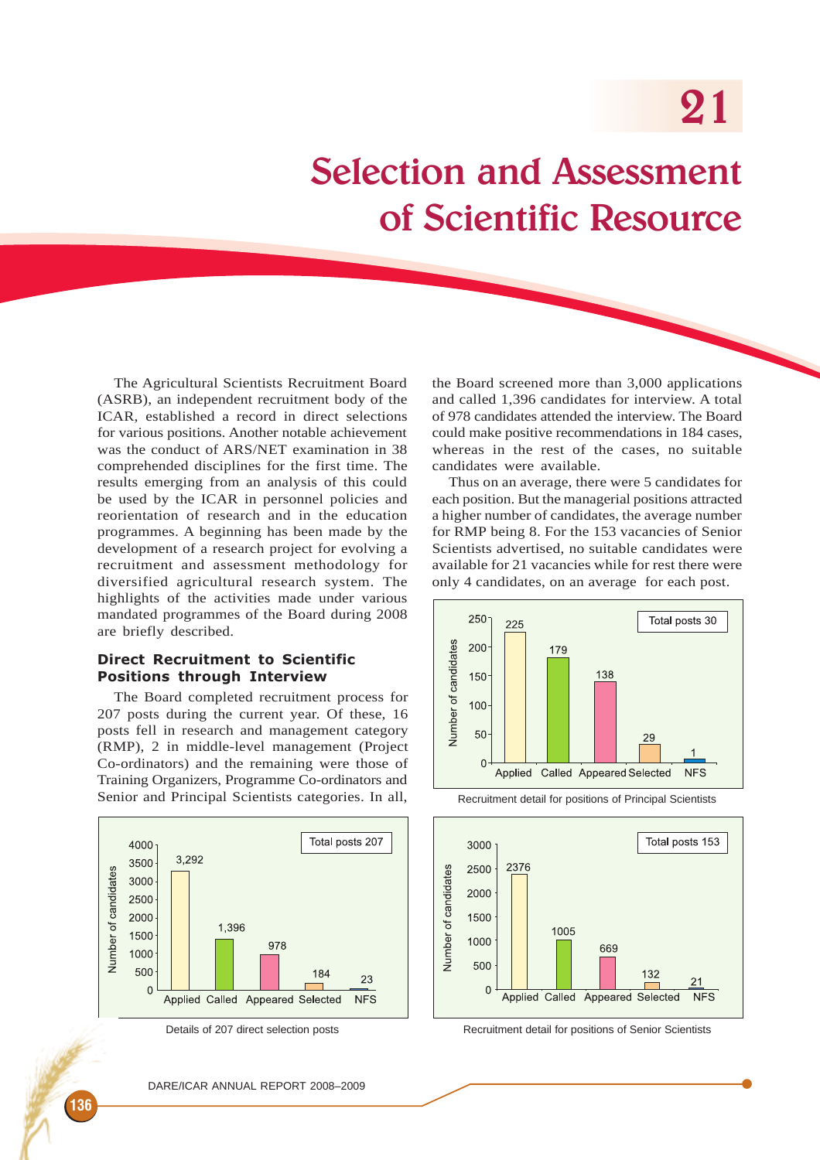# Selection and Assessment of Scientific Resource

The Agricultural Scientists Recruitment Board (ASRB), an independent recruitment body of the ICAR, established a record in direct selections for various positions. Another notable achievement was the conduct of ARS/NET examination in 38 comprehended disciplines for the first time. The results emerging from an analysis of this could be used by the ICAR in personnel policies and reorientation of research and in the education programmes. A beginning has been made by the development of a research project for evolving a recruitment and assessment methodology for diversified agricultural research system. The highlights of the activities made under various mandated programmes of the Board during 2008 are briefly described.

#### Direct Recruitment to Scientific Positions through Interview

The Board completed recruitment process for 207 posts during the current year. Of these, 16 posts fell in research and management category (RMP), 2 in middle-level management (Project Co-ordinators) and the remaining were those of Training Organizers, Programme Co-ordinators and Senior and Principal Scientists categories. In all,



the Board screened more than 3,000 applications and called 1,396 candidates for interview. A total of 978 candidates attended the interview. The Board could make positive recommendations in 184 cases, whereas in the rest of the cases, no suitable candidates were available.

Thus on an average, there were 5 candidates for each position. But the managerial positions attracted a higher number of candidates, the average number for RMP being 8. For the 153 vacancies of Senior Scientists advertised, no suitable candidates were available for 21 vacancies while for rest there were only 4 candidates, on an average for each post.



Recruitment detail for positions of Principal Scientists



Details of 207 direct selection posts **Recruitment detail for positions of Senior Scientists**